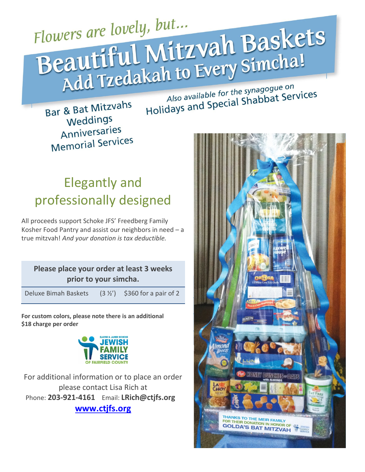Flowers are lovely, but... Flowers are lovely, but...<br>Beautiful Mitzvah Baskets<br>Add Tzedakah to Every Simcha!

Also available for the synagogue on Also available for the synagogue or

Bar & Bat Mitzvahs Weddings Anniversaries **Memorial Services** 

## Elegantly and professionally designed

All proceeds support Schoke JFS' Freedberg Family Kosher Food Pantry and assist our neighbors in need – a true mitzvah! *And your donation is tax deductible.*

## **Please place your order at least 3 weeks prior to your simcha.**

Deluxe Bimah Baskets  $(3  $\frac{1}{2}$ )$  \$360 for a pair of 2

**For custom colors, please note there is an additional \$18 charge per order**



For additional information or to place an order please contact Lisa Rich at Phone: **203-921-4161** Email: **LRich@ctjfs.org [www.ctjfs.org](http://www.ctjfs.org/)**